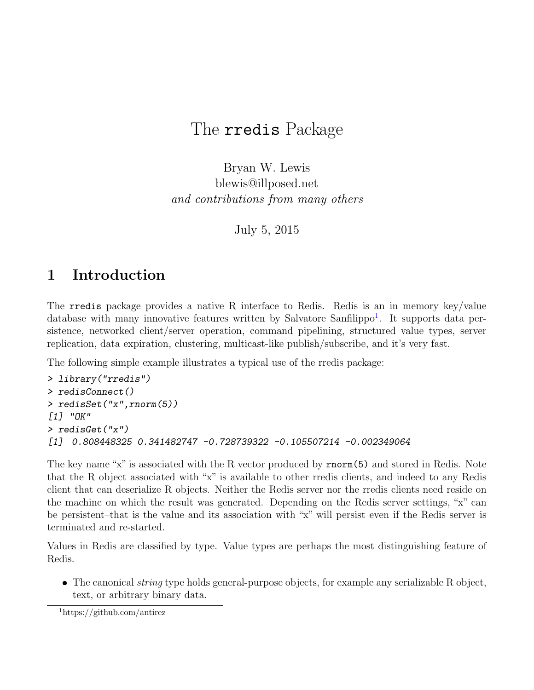# The rredis Package

Bryan W. Lewis blewis@illposed.net and contributions from many others

July 5, 2015

# 1 Introduction

The rredis package provides a native R interface to Redis. Redis is an in memory key/value database with many innovative features written by Salvatore Sanfilippo<sup>[1](#page-0-0)</sup>. It supports data persistence, networked client/server operation, command pipelining, structured value types, server replication, data expiration, clustering, multicast-like publish/subscribe, and it's very fast.

The following simple example illustrates a typical use of the rredis package:

```
> library("rredis")
> redisConnect()
> redisSet("x",rnorm(5))
[1] "OK"
> redisGet("x")
[1] 0.808448325 0.341482747 -0.728739322 -0.105507214 -0.002349064
```
The key name "x" is associated with the R vector produced by rnorm(5) and stored in Redis. Note that the R object associated with "x" is available to other rredis clients, and indeed to any Redis client that can deserialize R objects. Neither the Redis server nor the rredis clients need reside on the machine on which the result was generated. Depending on the Redis server settings, "x" can be persistent–that is the value and its association with "x" will persist even if the Redis server is terminated and re-started.

Values in Redis are classified by type. Value types are perhaps the most distinguishing feature of Redis.

• The canonical *string* type holds general-purpose objects, for example any serializable R object, text, or arbitrary binary data.

<span id="page-0-0"></span><sup>1</sup>https://github.com/antirez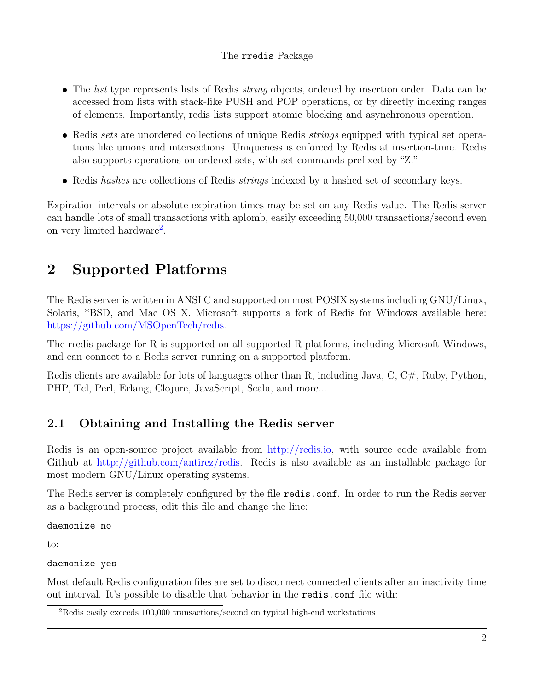- The *list* type represents lists of Redis *string* objects, ordered by insertion order. Data can be accessed from lists with stack-like PUSH and POP operations, or by directly indexing ranges of elements. Importantly, redis lists support atomic blocking and asynchronous operation.
- Redis sets are unordered collections of unique Redis strings equipped with typical set operations like unions and intersections. Uniqueness is enforced by Redis at insertion-time. Redis also supports operations on ordered sets, with set commands prefixed by "Z."
- Redis hashes are collections of Redis *strings* indexed by a hashed set of secondary keys.

Expiration intervals or absolute expiration times may be set on any Redis value. The Redis server can handle lots of small transactions with aplomb, easily exceeding 50,000 transactions/second even on very limited hardware<sup>[2](#page-1-0)</sup>.

# 2 Supported Platforms

The Redis server is written in ANSI C and supported on most POSIX systems including GNU/Linux, Solaris, \*BSD, and Mac OS X. Microsoft supports a fork of Redis for Windows available here: [https://github.com/MSOpenTech/redis.](https://github.com/MSOpenTech/redis)

The rredis package for R is supported on all supported R platforms, including Microsoft Windows, and can connect to a Redis server running on a supported platform.

Redis clients are available for lots of languages other than R, including Java, C, C#, Ruby, Python, PHP, Tcl, Perl, Erlang, Clojure, JavaScript, Scala, and more...

## 2.1 Obtaining and Installing the Redis server

Redis is an open-source project available from [http://redis.io,](http://redis.io) with source code available from Github at [http://github.com/antirez/redis.](http://github.com/antirez/redis) Redis is also available as an installable package for most modern GNU/Linux operating systems.

The Redis server is completely configured by the file redis.conf. In order to run the Redis server as a background process, edit this file and change the line:

daemonize no

to:

daemonize yes

Most default Redis configuration files are set to disconnect connected clients after an inactivity time out interval. It's possible to disable that behavior in the redis.conf file with:

<span id="page-1-0"></span><sup>2</sup>Redis easily exceeds 100,000 transactions/second on typical high-end workstations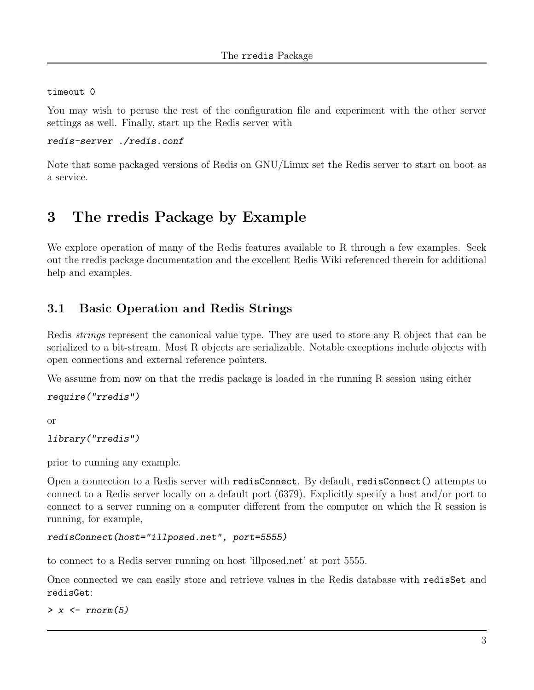#### timeout 0

You may wish to peruse the rest of the configuration file and experiment with the other server settings as well. Finally, start up the Redis server with

#### redis-server ./redis.conf

Note that some packaged versions of Redis on GNU/Linux set the Redis server to start on boot as a service.

# 3 The rredis Package by Example

We explore operation of many of the Redis features available to R through a few examples. Seek out the rredis package documentation and the excellent Redis Wiki referenced therein for additional help and examples.

### 3.1 Basic Operation and Redis Strings

Redis strings represent the canonical value type. They are used to store any R object that can be serialized to a bit-stream. Most R objects are serializable. Notable exceptions include objects with open connections and external reference pointers.

We assume from now on that the rredis package is loaded in the running R session using either

#### require("rredis")

or

#### library("rredis")

prior to running any example.

Open a connection to a Redis server with redisConnect. By default, redisConnect() attempts to connect to a Redis server locally on a default port (6379). Explicitly specify a host and/or port to connect to a server running on a computer different from the computer on which the R session is running, for example,

```
redisConnect(host="illposed.net", port=5555)
```
to connect to a Redis server running on host 'illposed.net' at port 5555.

Once connected we can easily store and retrieve values in the Redis database with redisSet and redisGet:

 $> x < -rnorm(5)$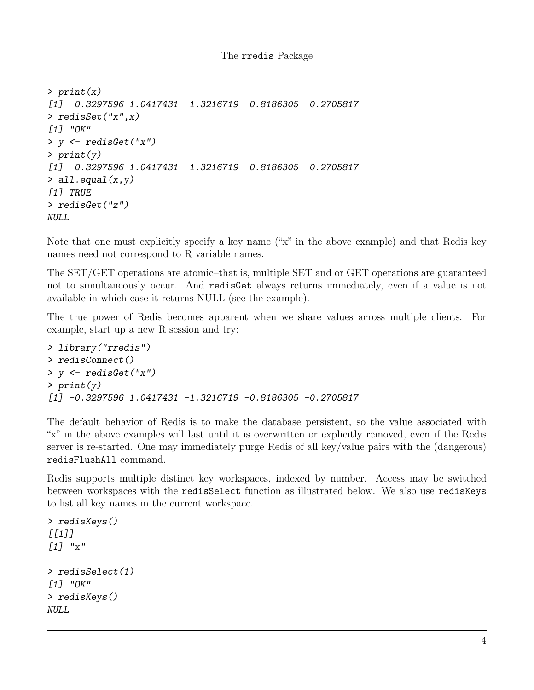```
> print(x)[1] -0.3297596 1.0417431 -1.3216719 -0.8186305 -0.2705817
> redisSet("x",x)
[1] "OK"
> y <- redisGet("x")
> print(y)
[1] -0.3297596 1.0417431 -1.3216719 -0.8186305 -0.2705817
> all.equal(x,y)[1] TRUE
> redisGet("z")
NULL.
```
Note that one must explicitly specify a key name ("x" in the above example) and that Redis key names need not correspond to R variable names.

The SET/GET operations are atomic–that is, multiple SET and or GET operations are guaranteed not to simultaneously occur. And redisGet always returns immediately, even if a value is not available in which case it returns NULL (see the example).

The true power of Redis becomes apparent when we share values across multiple clients. For example, start up a new R session and try:

```
> library("rredis")
> redisConnect()
> y \le - redisGet ("x")
> print(y)[1] -0.3297596 1.0417431 -1.3216719 -0.8186305 -0.2705817
```
The default behavior of Redis is to make the database persistent, so the value associated with "x" in the above examples will last until it is overwritten or explicitly removed, even if the Redis server is re-started. One may immediately purge Redis of all key/value pairs with the (dangerous) redisFlushAll command.

Redis supports multiple distinct key workspaces, indexed by number. Access may be switched between workspaces with the redisSelect function as illustrated below. We also use redisKeys to list all key names in the current workspace.

```
> redisKeys()
[[1]]
[1] "x"
> redisSelect(1)
[1] "OK"
> redisKeys()
NULL
```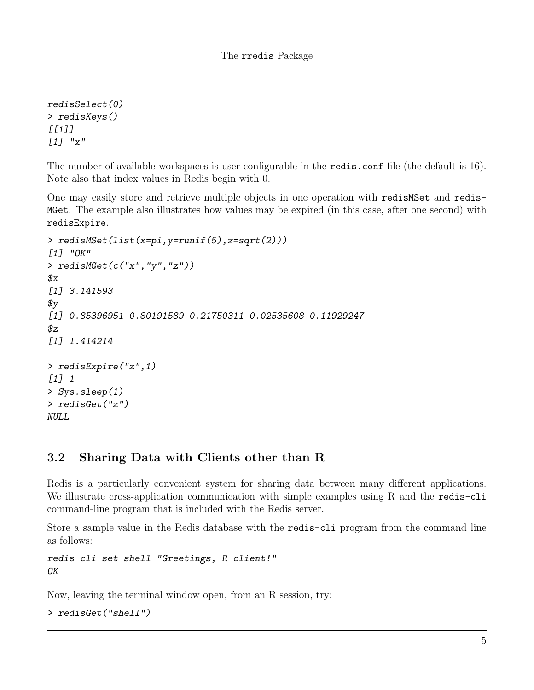redisSelect(0) > redisKeys()  $[$ [1]]  $[1]$  "x"

The number of available workspaces is user-configurable in the redis.conf file (the default is 16). Note also that index values in Redis begin with 0.

One may easily store and retrieve multiple objects in one operation with redisMSet and redis-MGet. The example also illustrates how values may be expired (in this case, after one second) with redisExpire.

```
> redisMSet(list(x=pi,y=runif(5),z=sqrt(2)))
[1] "OK"
> redisMGet(c("x","y","z"))
\mathcal{L}[1] 3.141593
\mathfrak{F}_{\rm V}[1] 0.85396951 0.80191589 0.21750311 0.02535608 0.11929247
$z[1] 1.414214
> redisExpire("z",1)
[1] 1
> Sys.sleep(1)
> redisGet("z")
NULL
```
### 3.2 Sharing Data with Clients other than R

Redis is a particularly convenient system for sharing data between many different applications. We illustrate cross-application communication with simple examples using R and the redis-cli command-line program that is included with the Redis server.

Store a sample value in the Redis database with the redis-cli program from the command line as follows:

redis-cli set shell "Greetings, R client!" OK

Now, leaving the terminal window open, from an R session, try:

```
> redisGet("shell")
```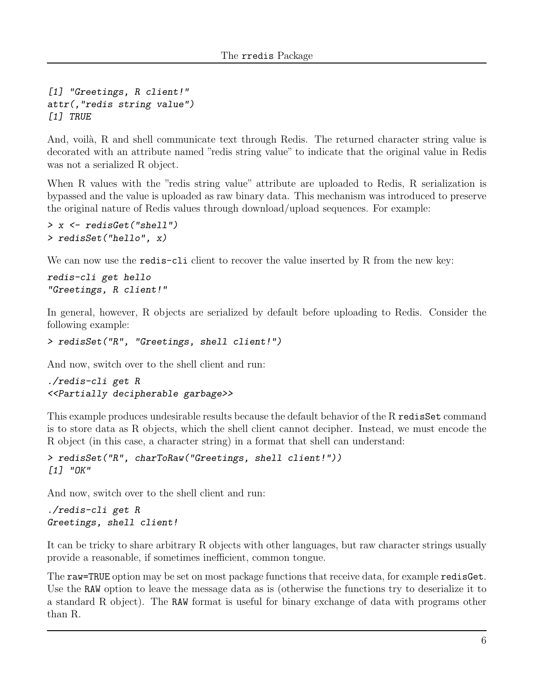```
[1] "Greetings, R client!"
attr(,"redis string value")
[1] TRUE
```
And, voilà, R and shell communicate text through Redis. The returned character string value is decorated with an attribute named "redis string value" to indicate that the original value in Redis was not a serialized R object.

When R values with the "redis string value" attribute are uploaded to Redis, R serialization is bypassed and the value is uploaded as raw binary data. This mechanism was introduced to preserve the original nature of Redis values through download/upload sequences. For example:

```
> x <- redisGet("shell")
> redisSet("hello", x)
```
We can now use the **redis-cli** client to recover the value inserted by R from the new key:

```
redis-cli get hello
"Greetings, R client!"
```
In general, however, R objects are serialized by default before uploading to Redis. Consider the following example:

```
> redisSet("R", "Greetings, shell client!")
```
And now, switch over to the shell client and run:

```
./redis-cli get R
<<Partially decipherable garbage>>
```
This example produces undesirable results because the default behavior of the R redisSet command is to store data as R objects, which the shell client cannot decipher. Instead, we must encode the R object (in this case, a character string) in a format that shell can understand:

```
> redisSet("R", charToRaw("Greetings, shell client!"))
[1] "OK"
```
And now, switch over to the shell client and run:

```
./redis-cli get R
Greetings, shell client!
```
It can be tricky to share arbitrary R objects with other languages, but raw character strings usually provide a reasonable, if sometimes inefficient, common tongue.

The raw=TRUE option may be set on most package functions that receive data, for example redisGet. Use the RAW option to leave the message data as is (otherwise the functions try to deserialize it to a standard R object). The RAW format is useful for binary exchange of data with programs other than R.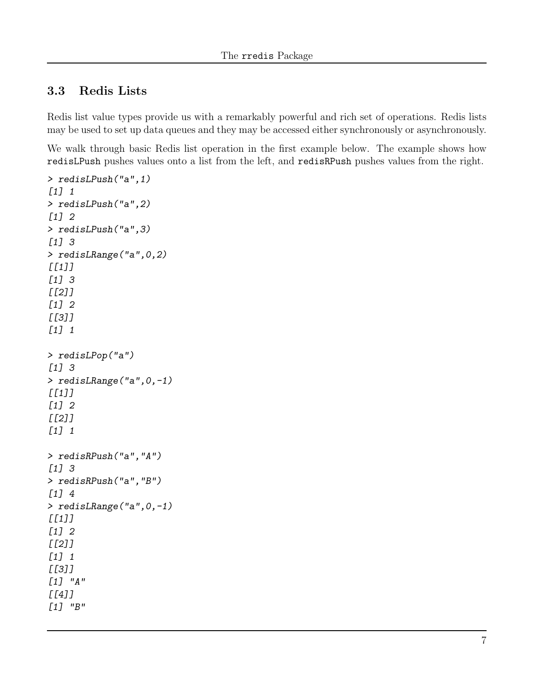### 3.3 Redis Lists

Redis list value types provide us with a remarkably powerful and rich set of operations. Redis lists may be used to set up data queues and they may be accessed either synchronously or asynchronously.

We walk through basic Redis list operation in the first example below. The example shows how redisLPush pushes values onto a list from the left, and redisRPush pushes values from the right.

```
> redisLPush("a",1)
[1] 1
> redisLPush("a",2)
[1] 2
> redisLPush("a",3)
[1] 3
> redisLRange("a",0,2)
[I1J][1] 3
[[2]]
[1] 2
[[3]]
[1] 1
> redisLPop("a")
[1] 3
> redisLRange("a",0,-1)
[I1J][1] 2
[[2]]
[1] 1
> redisRPush("a","A")
[1] 3
> redisRPush("a","B")
[1] 4
> redisLRange("a",0,-1)
[I1][1] 2
[[2]]
[1] 1
[[3]]
[1] "A"
[[4][1] "B"
```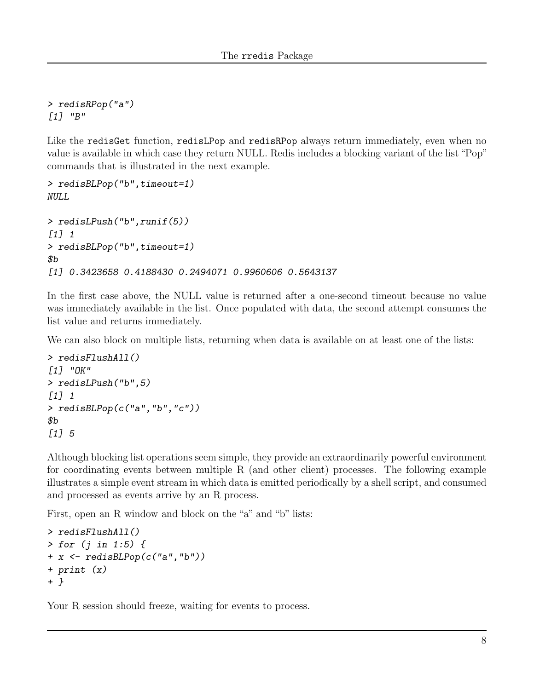> redisRPop("a") [1] "B"

Like the redisGet function, redisLPop and redisRPop always return immediately, even when no value is available in which case they return NULL. Redis includes a blocking variant of the list "Pop" commands that is illustrated in the next example.

```
> redisBLPop("b",timeout=1)
NULL
> redisLPush("b",runif(5))
[1] 1
> redisBLPop("b",timeout=1)
$b
[1] 0.3423658 0.4188430 0.2494071 0.9960606 0.5643137
```
In the first case above, the NULL value is returned after a one-second timeout because no value was immediately available in the list. Once populated with data, the second attempt consumes the list value and returns immediately.

We can also block on multiple lists, returning when data is available on at least one of the lists:

```
> redisFlushAll()
[1] "OK"
> redisLPush("b",5)
[1] 1
> redisBLPop(c("a","b","c"))
$<sub>b</sub>[1] 5
```
Although blocking list operations seem simple, they provide an extraordinarily powerful environment for coordinating events between multiple R (and other client) processes. The following example illustrates a simple event stream in which data is emitted periodically by a shell script, and consumed and processed as events arrive by an R process.

First, open an R window and block on the "a" and "b" lists:

```
> redisFlushAll()
> for (j in 1:5) {
+ x <- redisBLPop(c("a","b"))
+ print (x)
+ }
```
Your R session should freeze, waiting for events to process.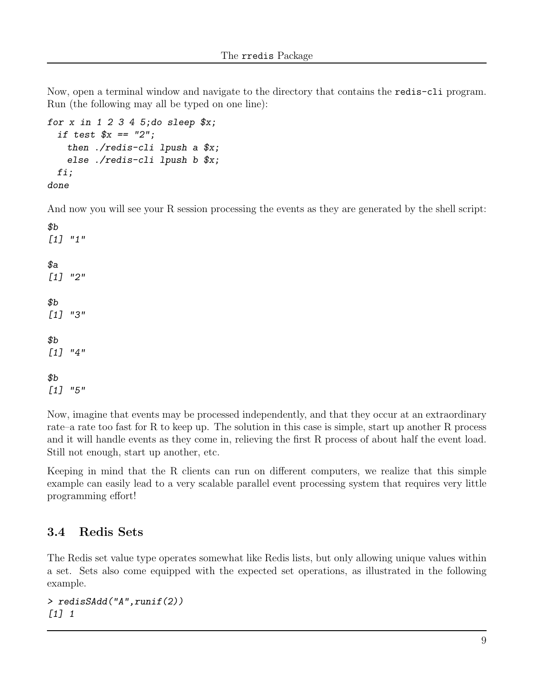Now, open a terminal window and navigate to the directory that contains the redis-cli program. Run (the following may all be typed on one line):

```
for x in 1 2 3 4 5; do sleep x;
 if test x = "2";then ./redis-cli lpush a $x;
   else ./redis-cli lpush b $x;
 fi;
done
```
And now you will see your R session processing the events as they are generated by the shell script:

 $$b$$ [1] "1"  $\$a$ [1] "2" \$b [1] "3"  $$b$$ [1] "4"  $$b$$ [1] "5"

Now, imagine that events may be processed independently, and that they occur at an extraordinary rate–a rate too fast for R to keep up. The solution in this case is simple, start up another R process and it will handle events as they come in, relieving the first R process of about half the event load. Still not enough, start up another, etc.

Keeping in mind that the R clients can run on different computers, we realize that this simple example can easily lead to a very scalable parallel event processing system that requires very little programming effort!

### 3.4 Redis Sets

The Redis set value type operates somewhat like Redis lists, but only allowing unique values within a set. Sets also come equipped with the expected set operations, as illustrated in the following example.

```
> redisSAdd("A",runif(2))
[1] 1
```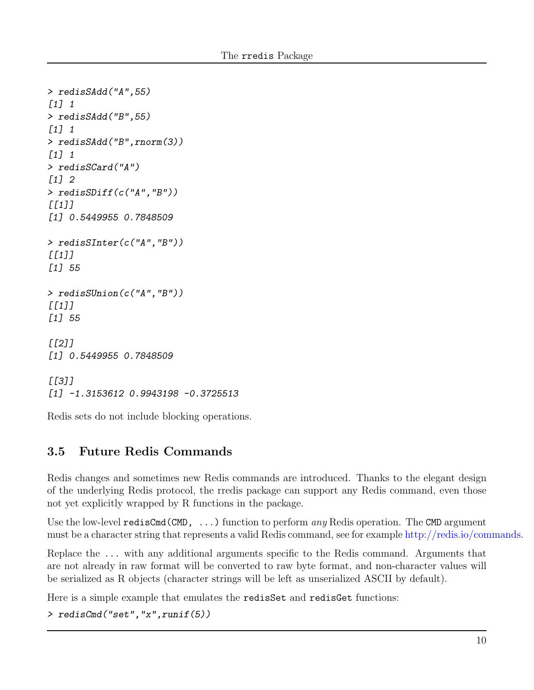```
> redisSAdd("A",55)
[1] 1
> redisSAdd("B",55)
[1] 1
> redisSAdd("B",rnorm(3))
[1] 1
> redisSCard("A")
[1] 2
> redisSDiff(c("A","B"))
[I1]]
[1] 0.5449955 0.7848509
> redisSInter(c("A","B"))
[I1]]
[1] 55
> redisSUnion(c("A","B"))
[I1]]
[1] 55
\sqrt{211}[1] 0.5449955 0.7848509
\sqrt{311}[1] -1.3153612 0.9943198 -0.3725513
```
Redis sets do not include blocking operations.

### 3.5 Future Redis Commands

Redis changes and sometimes new Redis commands are introduced. Thanks to the elegant design of the underlying Redis protocol, the rredis package can support any Redis command, even those not yet explicitly wrapped by R functions in the package.

Use the low-level redisCmd(CMD,  $\ldots$ ) function to perform any Redis operation. The CMD argument must be a character string that represents a valid Redis command, see for example [http://redis.io/commands.](http://redis.io/commands)

Replace the ... with any additional arguments specific to the Redis command. Arguments that are not already in raw format will be converted to raw byte format, and non-character values will be serialized as R objects (character strings will be left as unserialized ASCII by default).

Here is a simple example that emulates the redisSet and redisGet functions:

```
> redisCmd("set","x",runif(5))
```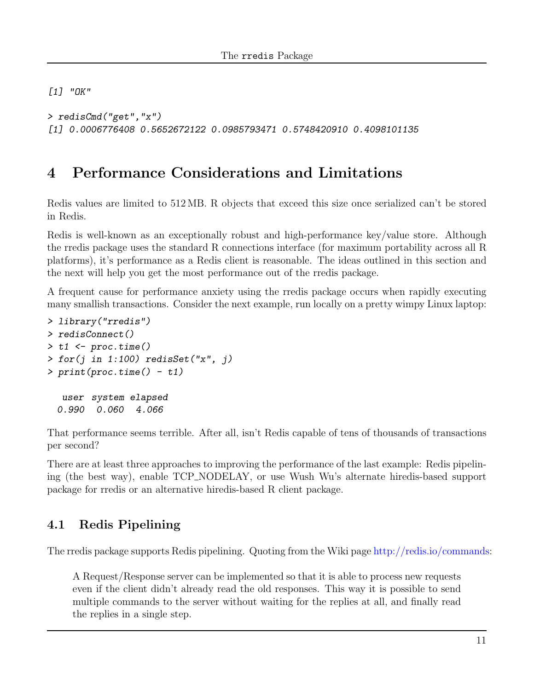[1] "OK"

> redisCmd("get","x") [1] 0.0006776408 0.5652672122 0.0985793471 0.5748420910 0.4098101135

# 4 Performance Considerations and Limitations

Redis values are limited to 512 MB. R objects that exceed this size once serialized can't be stored in Redis.

Redis is well-known as an exceptionally robust and high-performance key/value store. Although the rredis package uses the standard R connections interface (for maximum portability across all R platforms), it's performance as a Redis client is reasonable. The ideas outlined in this section and the next will help you get the most performance out of the rredis package.

A frequent cause for performance anxiety using the rredis package occurs when rapidly executing many smallish transactions. Consider the next example, run locally on a pretty wimpy Linux laptop:

```
> library("rredis")
> redisConnect()
> t1 < - \text{proc.time}()> for(j in 1:100) redisSet("x", j)
> print(proc.time() - t1)
  user system elapsed
 0.990 0.060 4.066
```
That performance seems terrible. After all, isn't Redis capable of tens of thousands of transactions per second?

There are at least three approaches to improving the performance of the last example: Redis pipelining (the best way), enable TCP NODELAY, or use Wush Wu's alternate hiredis-based support package for rredis or an alternative hiredis-based R client package.

### 4.1 Redis Pipelining

The rredis package supports Redis pipelining. Quoting from the Wiki page [http://redis.io/commands:](http://redis.io/commands)

A Request/Response server can be implemented so that it is able to process new requests even if the client didn't already read the old responses. This way it is possible to send multiple commands to the server without waiting for the replies at all, and finally read the replies in a single step.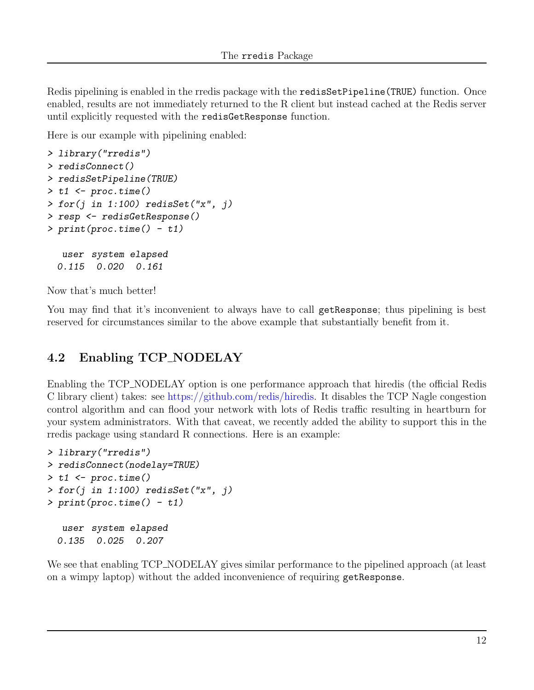Redis pipelining is enabled in the rredis package with the redisSetPipeline(TRUE) function. Once enabled, results are not immediately returned to the R client but instead cached at the Redis server until explicitly requested with the redisGetResponse function.

Here is our example with pipelining enabled:

```
> library("rredis")
> redisConnect()
> redisSetPipeline(TRUE)
> t1 \leftarrow proc.time()> for(j in 1:100) redissSet("x", j)> resp <- redisGetResponse()
> print(proc.time() - t1)user system elapsed
  0.115 0.020 0.161
```
Now that's much better!

You may find that it's inconvenient to always have to call get Response; thus pipelining is best reserved for circumstances similar to the above example that substantially benefit from it.

## 4.2 Enabling TCP NODELAY

Enabling the TCP NODELAY option is one performance approach that hiredis (the official Redis C library client) takes: see [https://github.com/redis/hiredis.](https://github.com/redis/hiredis) It disables the TCP Nagle congestion control algorithm and can flood your network with lots of Redis traffic resulting in heartburn for your system administrators. With that caveat, we recently added the ability to support this in the rredis package using standard R connections. Here is an example:

```
> library("rredis")
> redisConnect(nodelay=TRUE)
> t1 < - \text{proc.time}()> for(j in 1:100) redisSet("x", j)
> print(proc.time() - t1)
  user system elapsed
  0.135 0.025 0.207
```
We see that enabling TCP\_NODELAY gives similar performance to the pipelined approach (at least on a wimpy laptop) without the added inconvenience of requiring getResponse.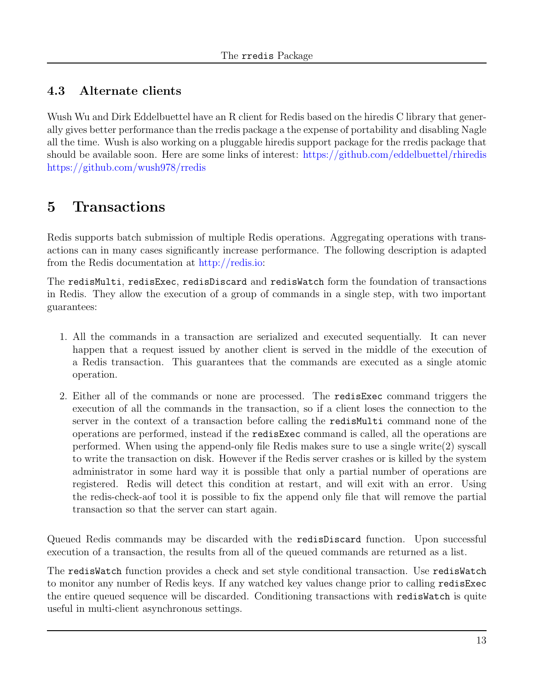## 4.3 Alternate clients

Wush Wu and Dirk Eddelbuettel have an R client for Redis based on the hiredis C library that generally gives better performance than the rredis package a the expense of portability and disabling Nagle all the time. Wush is also working on a pluggable hiredis support package for the rredis package that should be available soon. Here are some links of interest: <https://github.com/eddelbuettel/rhiredis> <https://github.com/wush978/rredis>

# 5 Transactions

Redis supports batch submission of multiple Redis operations. Aggregating operations with transactions can in many cases significantly increase performance. The following description is adapted from the Redis documentation at [http://redis.io:](http://redis.io)

The redisMulti, redisExec, redisDiscard and redisWatch form the foundation of transactions in Redis. They allow the execution of a group of commands in a single step, with two important guarantees:

- 1. All the commands in a transaction are serialized and executed sequentially. It can never happen that a request issued by another client is served in the middle of the execution of a Redis transaction. This guarantees that the commands are executed as a single atomic operation.
- 2. Either all of the commands or none are processed. The redisExec command triggers the execution of all the commands in the transaction, so if a client loses the connection to the server in the context of a transaction before calling the redisMulti command none of the operations are performed, instead if the redisExec command is called, all the operations are performed. When using the append-only file Redis makes sure to use a single write(2) syscall to write the transaction on disk. However if the Redis server crashes or is killed by the system administrator in some hard way it is possible that only a partial number of operations are registered. Redis will detect this condition at restart, and will exit with an error. Using the redis-check-aof tool it is possible to fix the append only file that will remove the partial transaction so that the server can start again.

Queued Redis commands may be discarded with the redisDiscard function. Upon successful execution of a transaction, the results from all of the queued commands are returned as a list.

The redisWatch function provides a check and set style conditional transaction. Use redisWatch to monitor any number of Redis keys. If any watched key values change prior to calling redisExec the entire queued sequence will be discarded. Conditioning transactions with redisWatch is quite useful in multi-client asynchronous settings.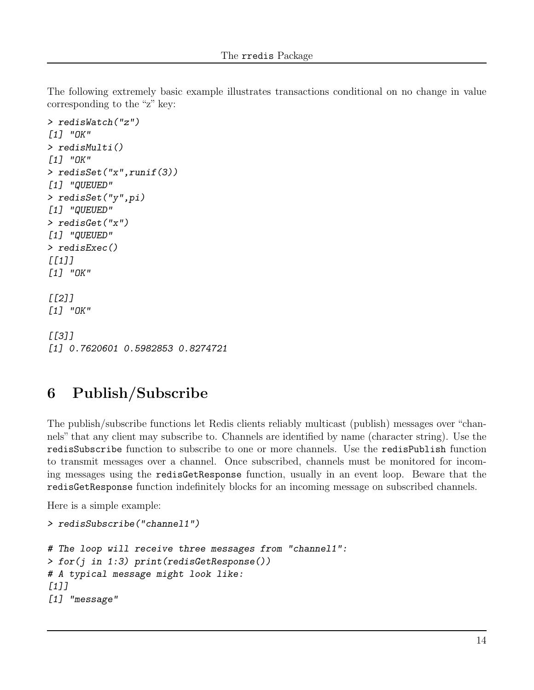The following extremely basic example illustrates transactions conditional on no change in value corresponding to the "z" key:

```
> redisWatch("z")
[1] "OK"
> redisMulti()
[1] "OK"
> redisSet("x",runif(3))
[1] "QUEUED"
> redisSet("y",pi)
[1] "QUEUED"
> redisGet("x")
[1] "QUEUED"
> redisExec()
[[1]]
[1] "OK"
[[2]]
[1] "OK"
[[3]]
[1] 0.7620601 0.5982853 0.8274721
```
# 6 Publish/Subscribe

The publish/subscribe functions let Redis clients reliably multicast (publish) messages over "channels" that any client may subscribe to. Channels are identified by name (character string). Use the redisSubscribe function to subscribe to one or more channels. Use the redisPublish function to transmit messages over a channel. Once subscribed, channels must be monitored for incoming messages using the redisGetResponse function, usually in an event loop. Beware that the redisGetResponse function indefinitely blocks for an incoming message on subscribed channels.

Here is a simple example:

```
> redisSubscribe("channel1")
# The loop will receive three messages from "channel1":
> for(j in 1:3) print(redisGetResponse())
# A typical message might look like:
[1]]
[1] "message"
```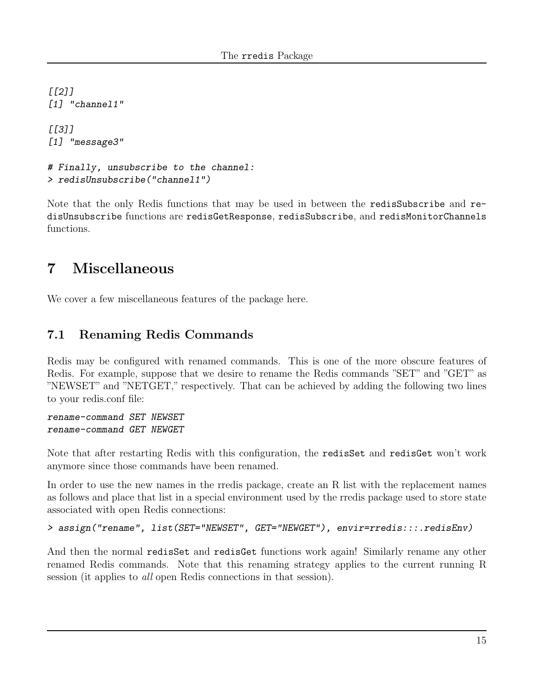$[$ [2]] [1] "channel1"

 $[$ [3]] [1] "message3"

```
# Finally, unsubscribe to the channel:
> redisUnsubscribe("channel1")
```
Note that the only Redis functions that may be used in between the redisSubscribe and redisUnsubscribe functions are redisGetResponse, redisSubscribe, and redisMonitorChannels functions.

# 7 Miscellaneous

We cover a few miscellaneous features of the package here.

### 7.1 Renaming Redis Commands

Redis may be configured with renamed commands. This is one of the more obscure features of Redis. For example, suppose that we desire to rename the Redis commands "SET" and "GET" as "NEWSET" and "NETGET," respectively. That can be achieved by adding the following two lines to your redis.conf file:

rename-command SET NEWSET rename-command GET NEWGET

Note that after restarting Redis with this configuration, the redisSet and redisGet won't work anymore since those commands have been renamed.

In order to use the new names in the rredis package, create an R list with the replacement names as follows and place that list in a special environment used by the rredis package used to store state associated with open Redis connections:

```
> assign("rename", list(SET="NEWSET", GET="NEWGET"), envir=rredis:::.redisEnv)
```
And then the normal redisSet and redisGet functions work again! Similarly rename any other renamed Redis commands. Note that this renaming strategy applies to the current running R session (it applies to all open Redis connections in that session).